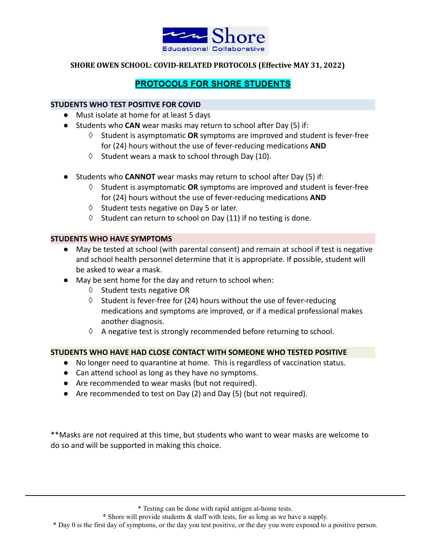

# PROTOCOLS FOR SHORE STUDENTS

### **STUDENTS WHO TEST POSITIVE FOR COVID**

- Must isolate at home for at least 5 days
- Students who **CAN** wear masks may return to school after Day (5) if:
	- ◊ Student is asymptomatic **OR** symptoms are improved and student is fever-free for (24) hours without the use of fever-reducing medications **AND**
	- $\Diamond$  Student wears a mask to school through Day (10).
- Students who **CANNOT** wear masks may return to school after Day (5) if:
	- ◊ Student is asymptomatic **OR** symptoms are improved and student is fever-free for (24) hours without the use of fever-reducing medications **AND**
	- ◊ Student tests negative on Day 5 or later.
	- $\Diamond$  Student can return to school on Day (11) if no testing is done.

#### **STUDENTS WHO HAVE SYMPTOMS**

- May be tested at school (with parental consent) and remain at school if test is negative and school health personnel determine that it is appropriate. If possible, student will be asked to wear a mask.
- May be sent home for the day and return to school when:
	- ◊ Student tests negative OR
	- $\Diamond$  Student is fever-free for (24) hours without the use of fever-reducing medications and symptoms are improved, or if a medical professional makes another diagnosis.
	- $\Diamond$  A negative test is strongly recommended before returning to school.

## **STUDENTS WHO HAVE HAD CLOSE CONTACT WITH SOMEONE WHO TESTED POSITIVE**

- No longer need to quarantine at home. This is regardless of vaccination status.
- Can attend school as long as they have no symptoms.
- Are recommended to wear masks (but not required).
- Are recommended to test on Day (2) and Day (5) (but not required).

\*\*Masks are not required at this time, but students who want to wear masks are welcome to do so and will be supported in making this choice.

\* Testing can be done with rapid antigen at-home tests.

<sup>\*</sup> Shore will provide students & staff with tests, for as long as we have a supply.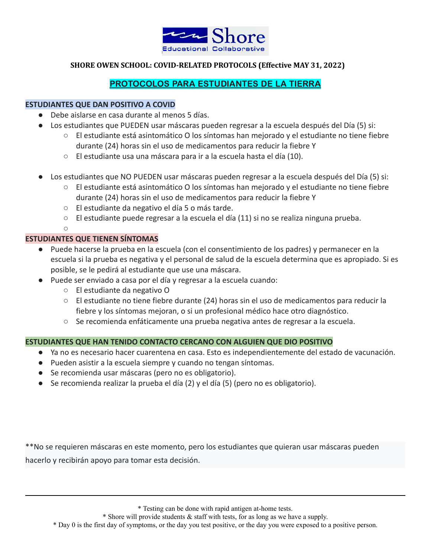

# PROTOCOLOS PARA ESTUDIANTES DE LA TIERRA

### **ESTUDIANTES QUE DAN POSITIVO A COVID**

- Debe aislarse en casa durante al menos 5 días.
- Los estudiantes que PUEDEN usar máscaras pueden regresar a la escuela después del Día (5) si:
	- El estudiante está asintomático O los síntomas han mejorado y el estudiante no tiene fiebre durante (24) horas sin el uso de medicamentos para reducir la fiebre Y
	- El estudiante usa una máscara para ir a la escuela hasta el día (10).
- Los estudiantes que NO PUEDEN usar máscaras pueden regresar a la escuela después del Día (5) si:
	- El estudiante está asintomático O los síntomas han mejorado y el estudiante no tiene fiebre durante (24) horas sin el uso de medicamentos para reducir la fiebre Y
	- El estudiante da negativo el día 5 o más tarde.
	- $\circ$  El estudiante puede regresar a la escuela el día (11) si no se realiza ninguna prueba.

 $\bigcap$ 

#### **ESTUDIANTES QUE TIENEN SÍNTOMAS**

- Puede hacerse la prueba en la escuela (con el consentimiento de los padres) y permanecer en la escuela si la prueba es negativa y el personal de salud de la escuela determina que es apropiado. Si es posible, se le pedirá al estudiante que use una máscara.
- Puede ser enviado a casa por el día y regresar a la escuela cuando:
	- El estudiante da negativo O
	- El estudiante no tiene fiebre durante (24) horas sin el uso de medicamentos para reducir la fiebre y los síntomas mejoran, o si un profesional médico hace otro diagnóstico.
	- Se recomienda enfáticamente una prueba negativa antes de regresar a la escuela.

#### **ESTUDIANTES QUE HAN TENIDO CONTACTO CERCANO CON ALGUIEN QUE DIO POSITIVO**

- Ya no es necesario hacer cuarentena en casa. Esto es independientemente del estado de vacunación.
- Pueden asistir a la escuela siempre y cuando no tengan síntomas.
- Se recomienda usar máscaras (pero no es obligatorio).
- Se recomienda realizar la prueba el día (2) y el día (5) (pero no es obligatorio).

\*\*No se requieren máscaras en este momento, pero los estudiantes que quieran usar máscaras pueden hacerlo y recibirán apoyo para tomar esta decisión.

\* Testing can be done with rapid antigen at-home tests.

\* Shore will provide students & staff with tests, for as long as we have a supply.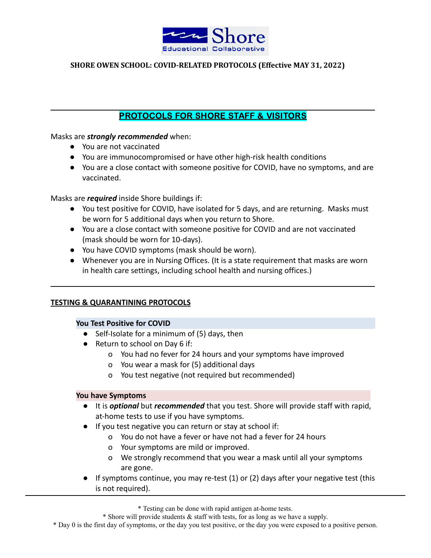

# PROTOCOLS FOR SHORE STAFF & VISITORS

Masks are *strongly recommended* when:

- You are not vaccinated
- You are immunocompromised or have other high-risk health conditions
- You are a close contact with someone positive for COVID, have no symptoms, and are vaccinated.

Masks are *required* inside Shore buildings if:

- You test positive for COVID, have isolated for 5 days, and are returning. Masks must be worn for 5 additional days when you return to Shore.
- You are a close contact with someone positive for COVID and are not vaccinated (mask should be worn for 10-days).
- You have COVID symptoms (mask should be worn).
- Whenever you are in Nursing Offices. (It is a state requirement that masks are worn in health care settings, including school health and nursing offices.)

## **TESTING & QUARANTINING PROTOCOLS**

## **You Test Positive for COVID**

- Self-Isolate for a minimum of (5) days, then
- Return to school on Day 6 if:
	- o You had no fever for 24 hours and your symptoms have improved
	- o You wear a mask for (5) additional days
	- o You test negative (not required but recommended)

#### **You have Symptoms**

- It is *optional* but *recommended* that you test. Shore will provide staff with rapid, at-home tests to use if you have symptoms.
- If you test negative you can return or stay at school if:
	- o You do not have a fever or have not had a fever for 24 hours
	- o Your symptoms are mild or improved.
	- o We strongly recommend that you wear a mask until all your symptoms are gone.
- $\bullet$  If symptoms continue, you may re-test (1) or (2) days after your negative test (this is not required).

\* Testing can be done with rapid antigen at-home tests.

\* Shore will provide students & staff with tests, for as long as we have a supply.